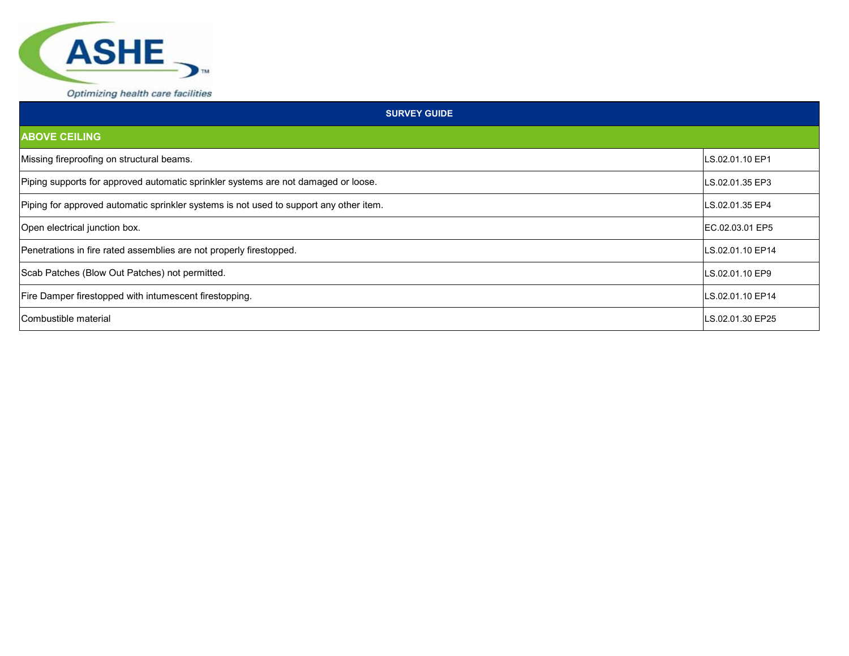

| <b>SURVEY GUIDE</b>                                                                    |                  |
|----------------------------------------------------------------------------------------|------------------|
| <b>ABOVE CEILING</b>                                                                   |                  |
| Missing fireproofing on structural beams.                                              | LS.02.01.10 EP1  |
| Piping supports for approved automatic sprinkler systems are not damaged or loose.     | LS.02.01.35 EP3  |
| Piping for approved automatic sprinkler systems is not used to support any other item. | LS.02.01.35 EP4  |
| Open electrical junction box.                                                          | IEC.02.03.01 EP5 |
| Penetrations in fire rated assemblies are not properly firestopped.                    | LS.02.01.10 EP14 |
| Scab Patches (Blow Out Patches) not permitted.                                         | LS.02.01.10 EP9  |
| Fire Damper firestopped with intumescent firestopping.                                 | LS.02.01.10 EP14 |
| Combustible material                                                                   | LS.02.01.30 EP25 |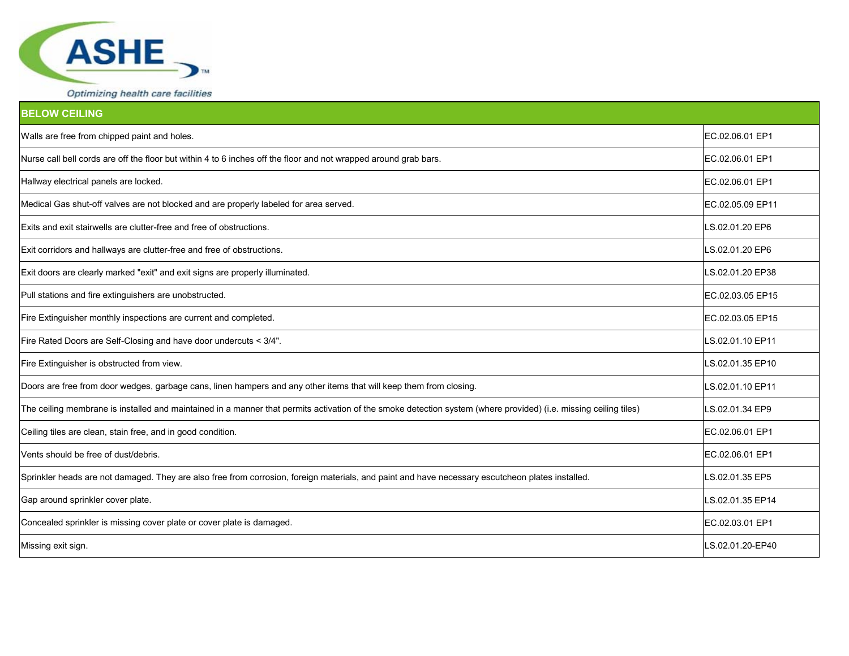

| <b>BELOW CEILING</b>                                                                                                                                             |                  |
|------------------------------------------------------------------------------------------------------------------------------------------------------------------|------------------|
| Walls are free from chipped paint and holes.                                                                                                                     | EC.02.06.01 EP1  |
| Nurse call bell cords are off the floor but within 4 to 6 inches off the floor and not wrapped around grab bars.                                                 | EC.02.06.01 EP1  |
| Hallway electrical panels are locked.                                                                                                                            | EC.02.06.01 EP1  |
| Medical Gas shut-off valves are not blocked and are properly labeled for area served.                                                                            | EC.02.05.09 EP11 |
| Exits and exit stairwells are clutter-free and free of obstructions.                                                                                             | LS.02.01.20 EP6  |
| Exit corridors and hallways are clutter-free and free of obstructions.                                                                                           | LS.02.01.20 EP6  |
| Exit doors are clearly marked "exit" and exit signs are properly illuminated.                                                                                    | LS.02.01.20 EP38 |
| Pull stations and fire extinguishers are unobstructed.                                                                                                           | EC.02.03.05 EP15 |
| Fire Extinguisher monthly inspections are current and completed.                                                                                                 | EC.02.03.05 EP15 |
| Fire Rated Doors are Self-Closing and have door undercuts < 3/4".                                                                                                | LS.02.01.10 EP11 |
| Fire Extinguisher is obstructed from view.                                                                                                                       | LS.02.01.35 EP10 |
| Doors are free from door wedges, garbage cans, linen hampers and any other items that will keep them from closing.                                               | LS.02.01.10 EP11 |
| The ceiling membrane is installed and maintained in a manner that permits activation of the smoke detection system (where provided) (i.e. missing ceiling tiles) | LS.02.01.34 EP9  |
| Ceiling tiles are clean, stain free, and in good condition.                                                                                                      | EC.02.06.01 EP1  |
| Vents should be free of dust/debris.                                                                                                                             | EC.02.06.01 EP1  |
| Sprinkler heads are not damaged. They are also free from corrosion, foreign materials, and paint and have necessary escutcheon plates installed.                 | LS.02.01.35 EP5  |
| Gap around sprinkler cover plate.                                                                                                                                | LS.02.01.35 EP14 |
| Concealed sprinkler is missing cover plate or cover plate is damaged.                                                                                            | EC.02.03.01 EP1  |
| Missing exit sign.                                                                                                                                               | LS.02.01.20-EP40 |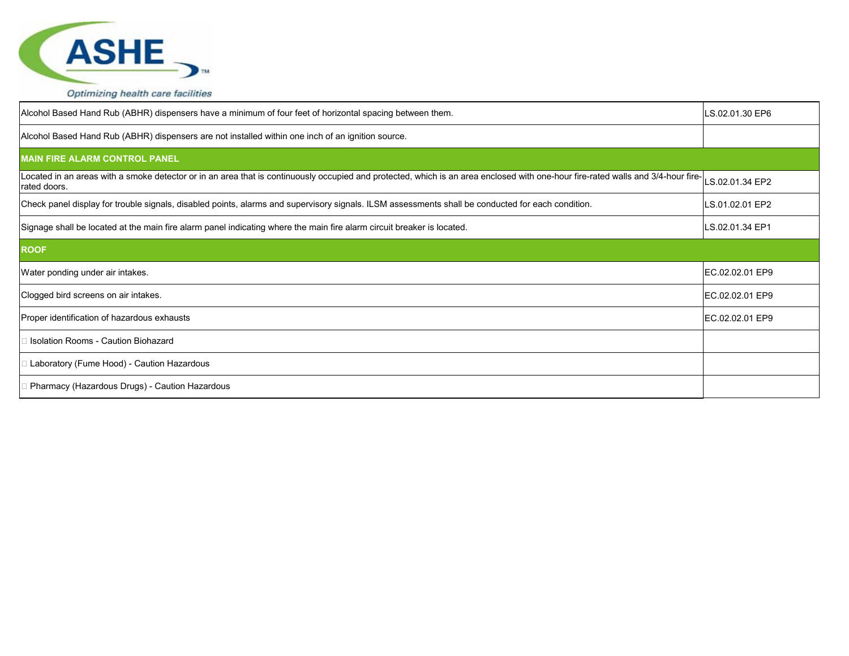

| Alcohol Based Hand Rub (ABHR) dispensers have a minimum of four feet of horizontal spacing between them.                                                                                         | LS.02.01.30 EP6 |
|--------------------------------------------------------------------------------------------------------------------------------------------------------------------------------------------------|-----------------|
| Alcohol Based Hand Rub (ABHR) dispensers are not installed within one inch of an ignition source.                                                                                                |                 |
| <b>MAIN FIRE ALARM CONTROL PANEL</b>                                                                                                                                                             |                 |
| Located in an areas with a smoke detector or in an area that is continuously occupied and protected, which is an area enclosed with one-hour fire-rated walls and 3/4-hour fire-<br>rated doors. | LS.02.01.34 EP2 |
| Check panel display for trouble signals, disabled points, alarms and supervisory signals. ILSM assessments shall be conducted for each condition.                                                | LS.01.02.01 EP2 |
| Signage shall be located at the main fire alarm panel indicating where the main fire alarm circuit breaker is located.                                                                           | LS.02.01.34 EP1 |
| <b>ROOF</b>                                                                                                                                                                                      |                 |
| Water ponding under air intakes.                                                                                                                                                                 | EC.02.02.01 EP9 |
| Clogged bird screens on air intakes.                                                                                                                                                             | EC.02.02.01 EP9 |
| Proper identification of hazardous exhausts                                                                                                                                                      | EC.02.02.01 EP9 |
| Isolation Rooms - Caution Biohazard                                                                                                                                                              |                 |
| Laboratory (Fume Hood) - Caution Hazardous                                                                                                                                                       |                 |
| Pharmacy (Hazardous Drugs) - Caution Hazardous                                                                                                                                                   |                 |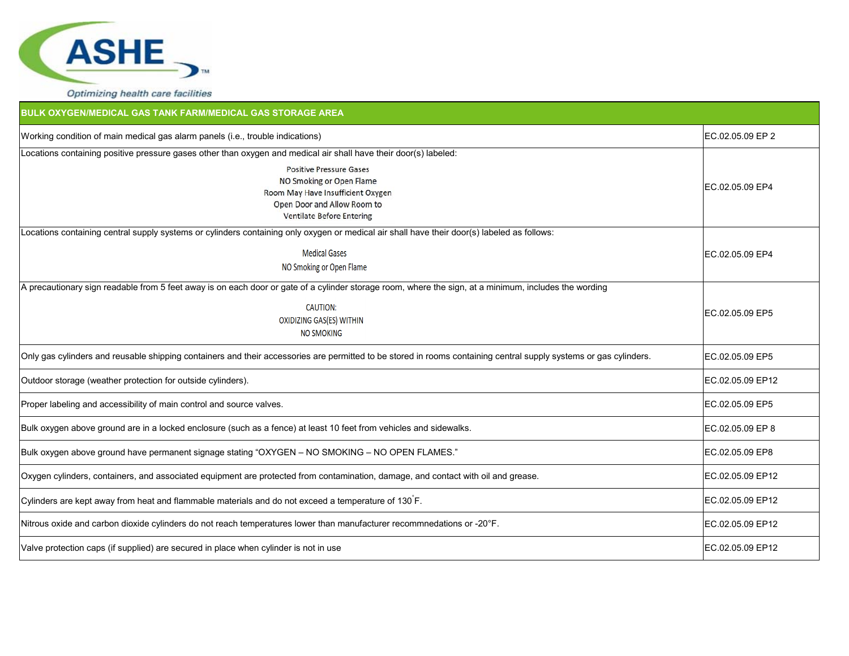

| <b>BULK OXYGEN/MEDICAL GAS TANK FARM/MEDICAL GAS STORAGE AREA</b>                                                                                                  |                  |
|--------------------------------------------------------------------------------------------------------------------------------------------------------------------|------------------|
| Working condition of main medical gas alarm panels (i.e., trouble indications)                                                                                     | EC.02.05.09 EP 2 |
| Locations containing positive pressure gases other than oxygen and medical air shall have their door(s) labeled:                                                   |                  |
| <b>Positive Pressure Gases</b><br>NO Smoking or Open Flame<br>Room May Have Insufficient Oxygen<br>Open Door and Allow Room to<br><b>Ventilate Before Entering</b> | IEC.02.05.09 EP4 |
| Locations containing central supply systems or cylinders containing only oxygen or medical air shall have their door(s) labeled as follows:                        |                  |
| <b>Medical Gases</b><br>NO Smoking or Open Flame                                                                                                                   | EC.02.05.09 EP4  |
| A precautionary sign readable from 5 feet away is on each door or gate of a cylinder storage room, where the sign, at a minimum, includes the wording              |                  |
| <b>CAUTION:</b><br>OXIDIZING GAS(ES) WITHIN<br><b>NO SMOKING</b>                                                                                                   | EC.02.05.09 EP5  |
| Only gas cylinders and reusable shipping containers and their accessories are permitted to be stored in rooms containing central supply systems or gas cylinders.  | EC.02.05.09 EP5  |
| Outdoor storage (weather protection for outside cylinders).                                                                                                        | EC.02.05.09 EP12 |
| Proper labeling and accessibility of main control and source valves.                                                                                               | EC.02.05.09 EP5  |
| Bulk oxygen above ground are in a locked enclosure (such as a fence) at least 10 feet from vehicles and sidewalks.                                                 | EC.02.05.09 EP 8 |
| Bulk oxygen above ground have permanent signage stating "OXYGEN - NO SMOKING - NO OPEN FLAMES."                                                                    | EC.02.05.09 EP8  |
| Oxygen cylinders, containers, and associated equipment are protected from contamination, damage, and contact with oil and grease.                                  | EC.02.05.09 EP12 |
| Cylinders are kept away from heat and flammable materials and do not exceed a temperature of 130 F.                                                                | EC.02.05.09 EP12 |
| Nitrous oxide and carbon dioxide cylinders do not reach temperatures lower than manufacturer recommnedations or -20°F.                                             | EC.02.05.09 EP12 |
| Valve protection caps (if supplied) are secured in place when cylinder is not in use                                                                               | EC.02.05.09 EP12 |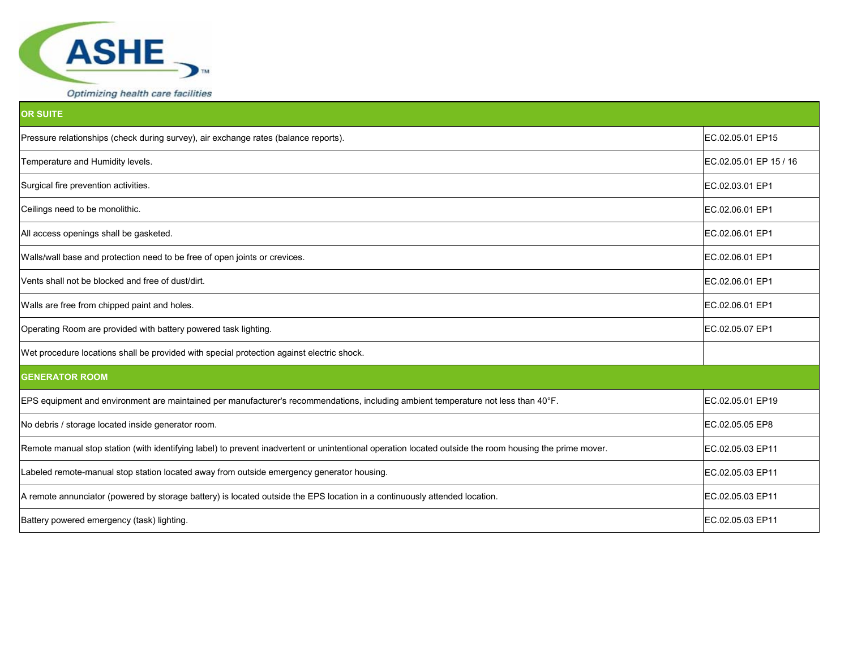

| Optimizing health care facilities |  |  |  |
|-----------------------------------|--|--|--|
|-----------------------------------|--|--|--|

| <b>OR SUITE</b>                                                                                                                                         |                        |
|---------------------------------------------------------------------------------------------------------------------------------------------------------|------------------------|
| Pressure relationships (check during survey), air exchange rates (balance reports).                                                                     | EC.02.05.01 EP15       |
| Temperature and Humidity levels.                                                                                                                        | EC.02.05.01 EP 15 / 16 |
| Surgical fire prevention activities.                                                                                                                    | EC.02.03.01 EP1        |
| Ceilings need to be monolithic.                                                                                                                         | EC.02.06.01 EP1        |
| All access openings shall be gasketed.                                                                                                                  | EC.02.06.01 EP1        |
| Walls/wall base and protection need to be free of open joints or crevices.                                                                              | EC.02.06.01 EP1        |
| Vents shall not be blocked and free of dust/dirt.                                                                                                       | EC.02.06.01 EP1        |
| Walls are free from chipped paint and holes.                                                                                                            | EC.02.06.01 EP1        |
| Operating Room are provided with battery powered task lighting.                                                                                         | EC.02.05.07 EP1        |
| Wet procedure locations shall be provided with special protection against electric shock.                                                               |                        |
| <b>GENERATOR ROOM</b>                                                                                                                                   |                        |
| EPS equipment and environment are maintained per manufacturer's recommendations, including ambient temperature not less than 40°F.                      | EC.02.05.01 EP19       |
| No debris / storage located inside generator room.                                                                                                      | EC.02.05.05 EP8        |
| Remote manual stop station (with identifying label) to prevent inadvertent or unintentional operation located outside the room housing the prime mover. | EC.02.05.03 EP11       |
| Labeled remote-manual stop station located away from outside emergency generator housing.                                                               | EC.02.05.03 EP11       |
| A remote annunciator (powered by storage battery) is located outside the EPS location in a continuously attended location.                              | EC.02.05.03 EP11       |
| Battery powered emergency (task) lighting.                                                                                                              | EC.02.05.03 EP11       |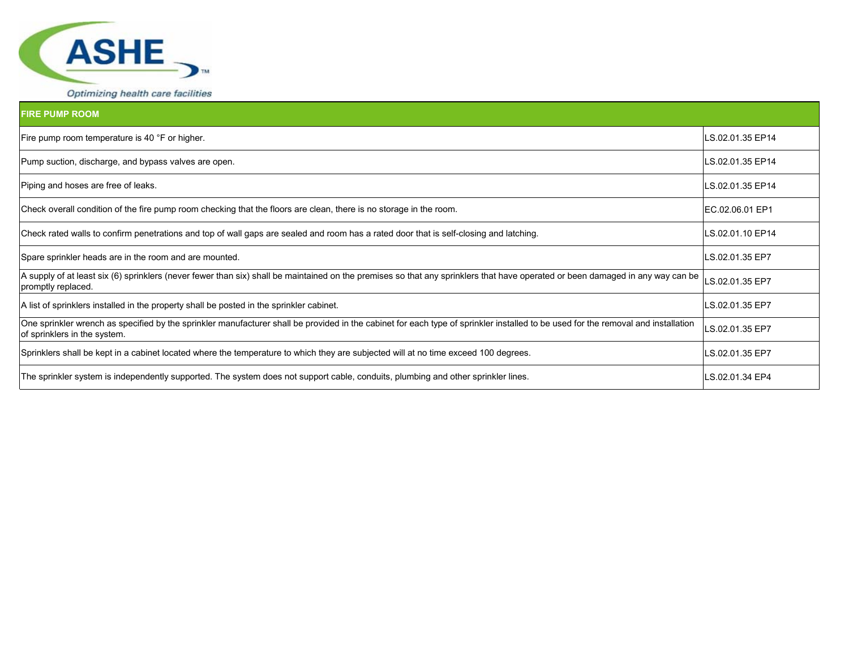

| <b>FIRE PUMP ROOM</b>                                                                                                                                                                                             |                  |
|-------------------------------------------------------------------------------------------------------------------------------------------------------------------------------------------------------------------|------------------|
| Fire pump room temperature is 40 °F or higher.                                                                                                                                                                    | LS.02.01.35 EP14 |
| Pump suction, discharge, and bypass valves are open.                                                                                                                                                              | LS.02.01.35 EP14 |
| Piping and hoses are free of leaks.                                                                                                                                                                               | LS.02.01.35 EP14 |
| Check overall condition of the fire pump room checking that the floors are clean, there is no storage in the room.                                                                                                | IEC.02.06.01 EP1 |
| Check rated walls to confirm penetrations and top of wall gaps are sealed and room has a rated door that is self-closing and latching.                                                                            | LS.02.01.10 EP14 |
| Spare sprinkler heads are in the room and are mounted.                                                                                                                                                            | LS.02.01.35 EP7  |
| A supply of at least six (6) sprinklers (never fewer than six) shall be maintained on the premises so that any sprinklers that have operated or been damaged in any way can be<br>promptly replaced.              | LS.02.01.35 EP7  |
| A list of sprinklers installed in the property shall be posted in the sprinkler cabinet.                                                                                                                          | LS.02.01.35 EP7  |
| One sprinkler wrench as specified by the sprinkler manufacturer shall be provided in the cabinet for each type of sprinkler installed to be used for the removal and installation<br>of sprinklers in the system. | LS.02.01.35 EP7  |
| Sprinklers shall be kept in a cabinet located where the temperature to which they are subjected will at no time exceed 100 degrees.                                                                               | LS.02.01.35 EP7  |
| The sprinkler system is independently supported. The system does not support cable, conduits, plumbing and other sprinkler lines.                                                                                 | LS.02.01.34 EP4  |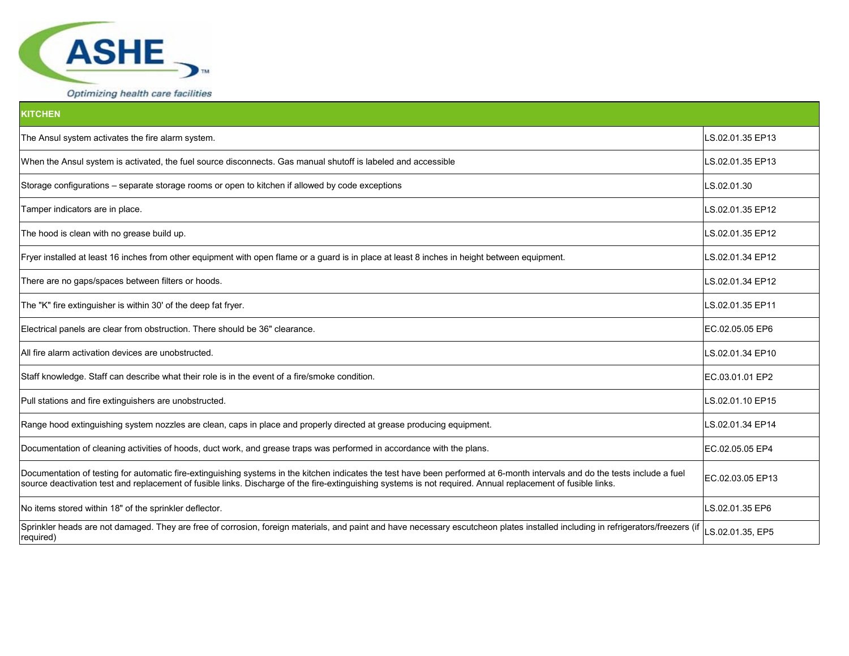

| <b>KITCHEN</b>                                                                                                                                                                                                                                                                                                                               |                  |
|----------------------------------------------------------------------------------------------------------------------------------------------------------------------------------------------------------------------------------------------------------------------------------------------------------------------------------------------|------------------|
| The Ansul system activates the fire alarm system.                                                                                                                                                                                                                                                                                            | LS.02.01.35 EP13 |
| When the Ansul system is activated, the fuel source disconnects. Gas manual shutoff is labeled and accessible                                                                                                                                                                                                                                | LS.02.01.35 EP13 |
| Storage configurations - separate storage rooms or open to kitchen if allowed by code exceptions                                                                                                                                                                                                                                             | LS.02.01.30      |
| Tamper indicators are in place.                                                                                                                                                                                                                                                                                                              | LS.02.01.35 EP12 |
| The hood is clean with no grease build up.                                                                                                                                                                                                                                                                                                   | LS.02.01.35 EP12 |
| Fryer installed at least 16 inches from other equipment with open flame or a guard is in place at least 8 inches in height between equipment.                                                                                                                                                                                                | LS.02.01.34 EP12 |
| There are no gaps/spaces between filters or hoods.                                                                                                                                                                                                                                                                                           | LS.02.01.34 EP12 |
| The "K" fire extinguisher is within 30' of the deep fat fryer.                                                                                                                                                                                                                                                                               | LS.02.01.35 EP11 |
| Electrical panels are clear from obstruction. There should be 36" clearance.                                                                                                                                                                                                                                                                 | EC.02.05.05 EP6  |
| All fire alarm activation devices are unobstructed.                                                                                                                                                                                                                                                                                          | LS.02.01.34 EP10 |
| Staff knowledge. Staff can describe what their role is in the event of a fire/smoke condition.                                                                                                                                                                                                                                               | EC.03.01.01 EP2  |
| Pull stations and fire extinguishers are unobstructed.                                                                                                                                                                                                                                                                                       | LS.02.01.10 EP15 |
| Range hood extinguishing system nozzles are clean, caps in place and properly directed at grease producing equipment.                                                                                                                                                                                                                        | LS.02.01.34 EP14 |
| Documentation of cleaning activities of hoods, duct work, and grease traps was performed in accordance with the plans.                                                                                                                                                                                                                       | EC.02.05.05 EP4  |
| Documentation of testing for automatic fire-extinguishing systems in the kitchen indicates the test have been performed at 6-month intervals and do the tests include a fuel<br>source deactivation test and replacement of fusible links. Discharge of the fire-extinguishing systems is not required. Annual replacement of fusible links. | EC.02.03.05 EP13 |
| No items stored within 18" of the sprinkler deflector.                                                                                                                                                                                                                                                                                       | LS.02.01.35 EP6  |
| Sprinkler heads are not damaged. They are free of corrosion, foreign materials, and paint and have necessary escutcheon plates installed including in refrigerators/freezers (if<br>required)                                                                                                                                                | LS.02.01.35, EP5 |